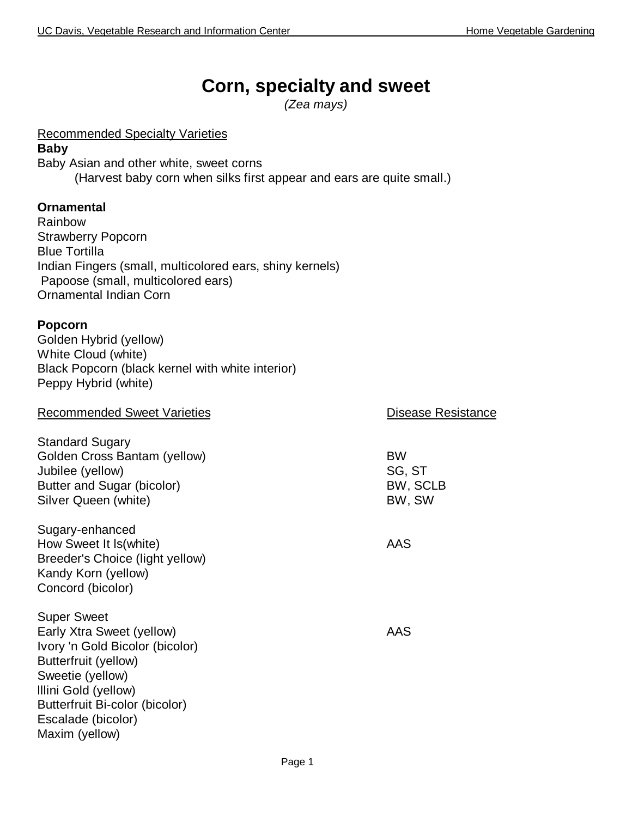# **Corn, specialty and sweet**

*(Zea mays)*

Recommended Specialty Varieties

#### **Baby**

Baby Asian and other white, sweet corns (Harvest baby corn when silks first appear and ears are quite small.)

#### **Ornamental**

Rainbow Strawberry Popcorn Blue Tortilla Indian Fingers (small, multicolored ears, shiny kernels) Papoose (small, multicolored ears) Ornamental Indian Corn

#### **Popcorn**

Golden Hybrid (yellow) White Cloud (white) Black Popcorn (black kernel with white interior) Peppy Hybrid (white)

| <b>Recommended Sweet Varieties</b>                                                                                                                                                                                               | <b>Disease Resistance</b>                 |
|----------------------------------------------------------------------------------------------------------------------------------------------------------------------------------------------------------------------------------|-------------------------------------------|
| <b>Standard Sugary</b><br>Golden Cross Bantam (yellow)<br>Jubilee (yellow)<br>Butter and Sugar (bicolor)<br>Silver Queen (white)                                                                                                 | <b>BW</b><br>SG, ST<br>BW, SCLB<br>BW, SW |
| Sugary-enhanced<br>How Sweet It Is(white)<br>Breeder's Choice (light yellow)<br>Kandy Korn (yellow)<br>Concord (bicolor)                                                                                                         | AAS                                       |
| <b>Super Sweet</b><br>Early Xtra Sweet (yellow)<br>Ivory 'n Gold Bicolor (bicolor)<br>Butterfruit (yellow)<br>Sweetie (yellow)<br>Illini Gold (yellow)<br>Butterfruit Bi-color (bicolor)<br>Escalade (bicolor)<br>Maxim (yellow) | AAS                                       |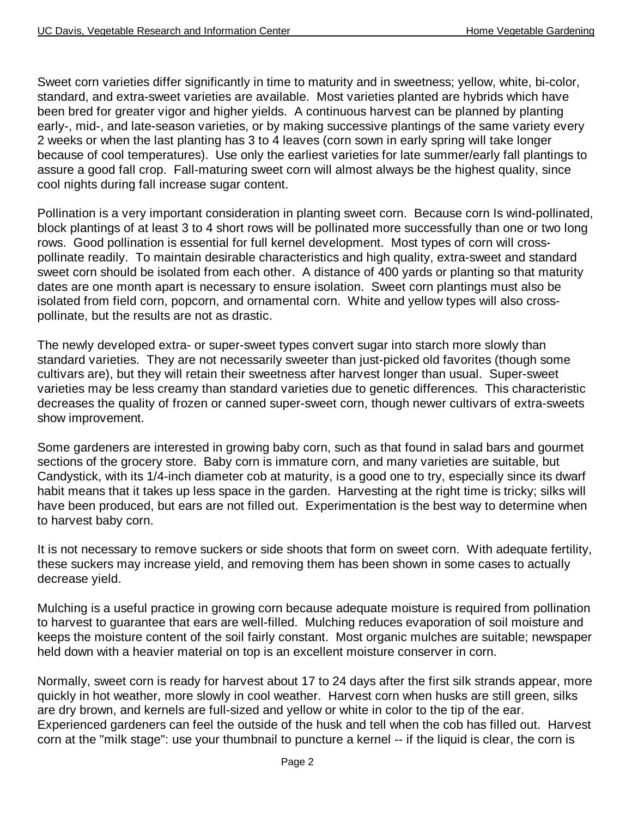Sweet corn varieties differ significantly in time to maturity and in sweetness; yellow, white, bi-color, standard, and extra-sweet varieties are available. Most varieties planted are hybrids which have been bred for greater vigor and higher yields. A continuous harvest can be planned by planting early-, mid-, and late-season varieties, or by making successive plantings of the same variety every 2 weeks or when the last planting has 3 to 4 leaves (corn sown in early spring will take longer because of cool temperatures). Use only the earliest varieties for late summer/early fall plantings to assure a good fall crop. Fall-maturing sweet corn will almost always be the highest quality, since cool nights during fall increase sugar content.

Pollination is a very important consideration in planting sweet corn. Because corn Is wind-pollinated, block plantings of at least 3 to 4 short rows will be pollinated more successfully than one or two long rows. Good pollination is essential for full kernel development. Most types of corn will crosspollinate readily. To maintain desirable characteristics and high quality, extra-sweet and standard sweet corn should be isolated from each other. A distance of 400 yards or planting so that maturity dates are one month apart is necessary to ensure isolation. Sweet corn plantings must also be isolated from field corn, popcorn, and ornamental corn. White and yellow types will also crosspollinate, but the results are not as drastic.

The newly developed extra- or super-sweet types convert sugar into starch more slowly than standard varieties. They are not necessarily sweeter than just-picked old favorites (though some cultivars are), but they will retain their sweetness after harvest longer than usual. Super-sweet varieties may be less creamy than standard varieties due to genetic differences. This characteristic decreases the quality of frozen or canned super-sweet corn, though newer cultivars of extra-sweets show improvement.

Some gardeners are interested in growing baby corn, such as that found in salad bars and gourmet sections of the grocery store. Baby corn is immature corn, and many varieties are suitable, but Candystick, with its 1/4-inch diameter cob at maturity, is a good one to try, especially since its dwarf habit means that it takes up less space in the garden. Harvesting at the right time is tricky; silks will have been produced, but ears are not filled out. Experimentation is the best way to determine when to harvest baby corn.

It is not necessary to remove suckers or side shoots that form on sweet corn. With adequate fertility, these suckers may increase yield, and removing them has been shown in some cases to actually decrease yield.

Mulching is a useful practice in growing corn because adequate moisture is required from pollination to harvest to guarantee that ears are well-filled. Mulching reduces evaporation of soil moisture and keeps the moisture content of the soil fairly constant. Most organic mulches are suitable; newspaper held down with a heavier material on top is an excellent moisture conserver in corn.

Normally, sweet corn is ready for harvest about 17 to 24 days after the first silk strands appear, more quickly in hot weather, more slowly in cool weather. Harvest corn when husks are still green, silks are dry brown, and kernels are full-sized and yellow or white in color to the tip of the ear. Experienced gardeners can feel the outside of the husk and tell when the cob has filled out. Harvest corn at the "milk stage": use your thumbnail to puncture a kernel -- if the liquid is clear, the corn is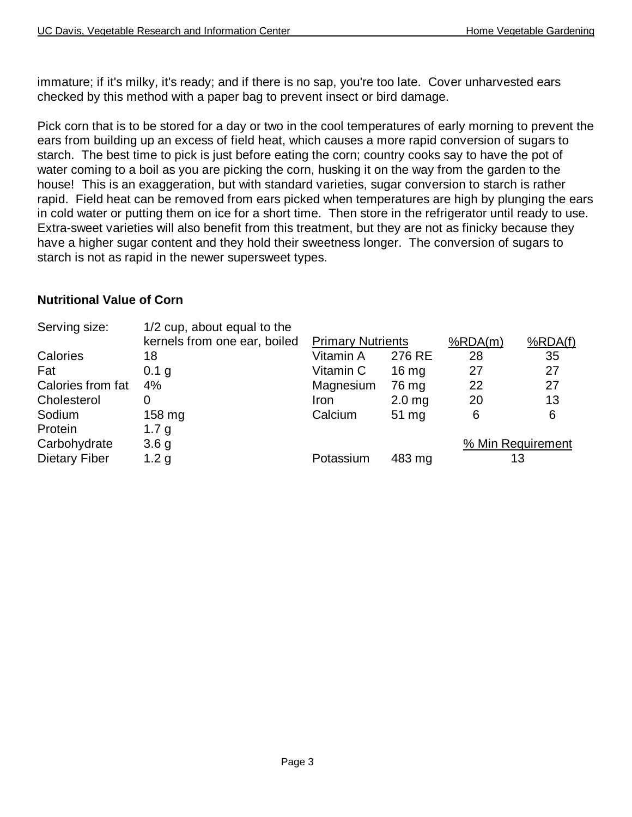immature; if it's milky, it's ready; and if there is no sap, you're too late. Cover unharvested ears checked by this method with a paper bag to prevent insect or bird damage.

Pick corn that is to be stored for a day or two in the cool temperatures of early morning to prevent the ears from building up an excess of field heat, which causes a more rapid conversion of sugars to starch. The best time to pick is just before eating the corn; country cooks say to have the pot of water coming to a boil as you are picking the corn, husking it on the way from the garden to the house! This is an exaggeration, but with standard varieties, sugar conversion to starch is rather rapid. Field heat can be removed from ears picked when temperatures are high by plunging the ears in cold water or putting them on ice for a short time. Then store in the refrigerator until ready to use. Extra-sweet varieties will also benefit from this treatment, but they are not as finicky because they have a higher sugar content and they hold their sweetness longer. The conversion of sugars to starch is not as rapid in the newer supersweet types.

#### **Nutritional Value of Corn**

| Serving size:        | 1/2 cup, about equal to the  |                          |                   |         |                   |
|----------------------|------------------------------|--------------------------|-------------------|---------|-------------------|
|                      | kernels from one ear, boiled | <b>Primary Nutrients</b> |                   | %RDA(m) | %RDA(f)           |
| Calories             | 18                           | Vitamin A                | 276 RE            | 28      | 35                |
| Fat                  | 0.1 g                        | Vitamin C                | 16 <sub>mg</sub>  | 27      | 27                |
| Calories from fat    | 4%                           | Magnesium                | 76 mg             | 22      | 27                |
| Cholesterol          | 0                            | Iron                     | 2.0 <sub>mg</sub> | 20      | 13                |
| Sodium               | 158 mg                       | Calcium                  | 51 mg             | 6       | 6                 |
| Protein              | 1.7 g                        |                          |                   |         |                   |
| Carbohydrate         | 3.6 <sub>g</sub>             |                          |                   |         | % Min Requirement |
| <b>Dietary Fiber</b> | 1.2 <sub>g</sub>             | Potassium                | 483 mg            |         | 13                |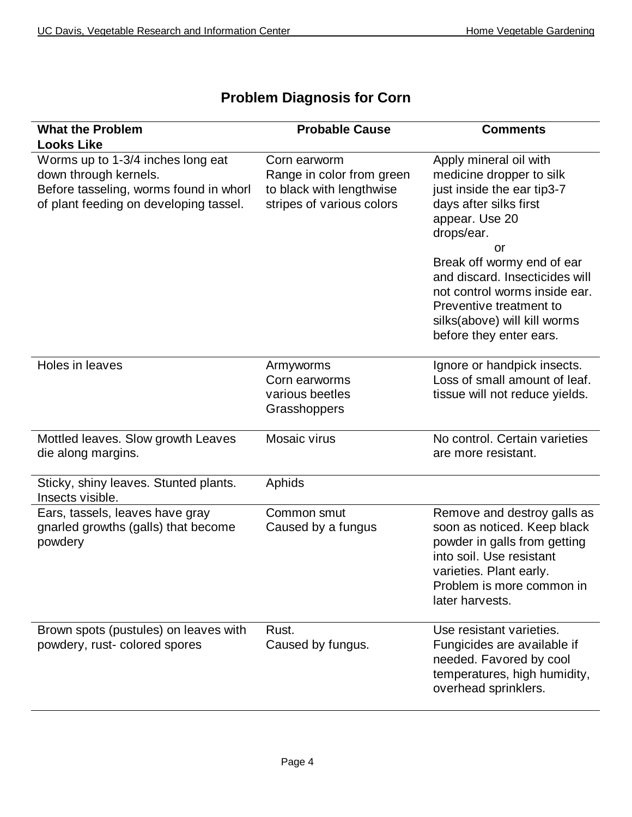| <b>What the Problem</b>                                                                                                                        | <b>Probable Cause</b>                                                                              | <b>Comments</b>                                                                                                                                                                                                                                                                                                                         |
|------------------------------------------------------------------------------------------------------------------------------------------------|----------------------------------------------------------------------------------------------------|-----------------------------------------------------------------------------------------------------------------------------------------------------------------------------------------------------------------------------------------------------------------------------------------------------------------------------------------|
| <b>Looks Like</b>                                                                                                                              |                                                                                                    |                                                                                                                                                                                                                                                                                                                                         |
| Worms up to 1-3/4 inches long eat<br>down through kernels.<br>Before tasseling, worms found in whorl<br>of plant feeding on developing tassel. | Corn earworm<br>Range in color from green<br>to black with lengthwise<br>stripes of various colors | Apply mineral oil with<br>medicine dropper to silk<br>just inside the ear tip3-7<br>days after silks first<br>appear. Use 20<br>drops/ear.<br>or<br>Break off wormy end of ear<br>and discard. Insecticides will<br>not control worms inside ear.<br>Preventive treatment to<br>silks(above) will kill worms<br>before they enter ears. |
| Holes in leaves                                                                                                                                | Armyworms<br>Corn earworms<br>various beetles<br>Grasshoppers                                      | Ignore or handpick insects.<br>Loss of small amount of leaf.<br>tissue will not reduce yields.                                                                                                                                                                                                                                          |
| Mottled leaves. Slow growth Leaves<br>die along margins.                                                                                       | Mosaic virus                                                                                       | No control. Certain varieties<br>are more resistant.                                                                                                                                                                                                                                                                                    |
| Sticky, shiny leaves. Stunted plants.<br>Insects visible.                                                                                      | Aphids                                                                                             |                                                                                                                                                                                                                                                                                                                                         |
| Ears, tassels, leaves have gray<br>gnarled growths (galls) that become<br>powdery                                                              | Common smut<br>Caused by a fungus                                                                  | Remove and destroy galls as<br>soon as noticed. Keep black<br>powder in galls from getting<br>into soil. Use resistant<br>varieties. Plant early.<br>Problem is more common in<br>later harvests.                                                                                                                                       |
| Brown spots (pustules) on leaves with<br>powdery, rust- colored spores                                                                         | Rust.<br>Caused by fungus.                                                                         | Use resistant varieties.<br>Fungicides are available if<br>needed. Favored by cool<br>temperatures, high humidity,<br>overhead sprinklers.                                                                                                                                                                                              |

### **Problem Diagnosis for Corn**